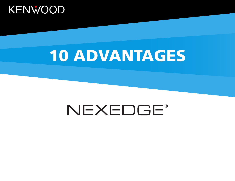

# 10 ADVANTAGES

# NEXEDGE®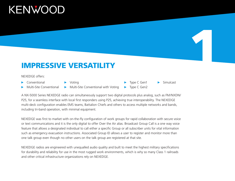#### IMPRESSIVE VERSATILITY

#### NEXEDGE offers:

- Conventional
- Voting
- Multi-Site Conventional
- 
- $\blacktriangleright$  Multi-Site Conventional with Voting
- Type C Gen1 Type C Gen2
- **Simulcast**

1

A NX-5000 Series NEXEDGE radio can simultaneously support two digital protocols plus analog, such as FM/NXDN/ P25, for a seamless interface with local first responders using P25, achieving true interoperability. The NEXEDGE multi-deck configuration enables EMS teams, Battalion Chiefs and others to access multiple networks and bands, including tri-band operation, with minimal equipment.

NEXEDGE was first to market with on-the-fly configuration of work groups for rapid collaboration with secure voice or text communications and it is the only digital to offer Over the Air alias. Broadcast Group Call is a one way voice feature that allows a designated individual to call either a specific Group or all subscriber units for vital information such as emergency evacuation instructions. Associated Group ID allows a user to register and monitor more than one talk group even though no other users on the talk group are registered at that site.

NEXEDGE radios are engineered with unequalled audio quality and built to meet the highest military specifications for durability and reliability for use in the most rugged work environments, which is why so many Class 1 railroads and other critical infrastructure organizations rely on NEXEDGE.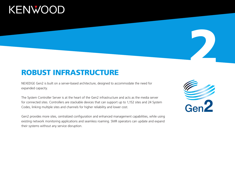#### ROBUST INFRASTRUCTURE

NEXEDGE Gen2 is built on a server-based architecture, designed to accommodate the need for expanded capacity.

The System Controller Server is at the heart of the Gen2 infrastructure and acts as the media server for connected sites. Controllers are stackable devices that can support up to 1,152 sites and 24 System Codes, linking multiple sites and channels for higher reliability and lower cost.

Gen2 provides more sites, centralized configuration and enhanced management capabilities, while using existing network monitoring applications and seamless roaming. SMR operators can update and expand their systems without any service disruption.

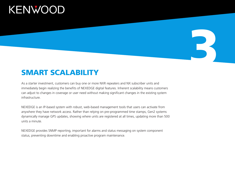#### SMART SCALABILITY

As a starter investment, customers can buy one or more NXR repeaters and NX subscriber units and immediately begin realizing the benefits of NEXEDGE digital features. Inherent scalability means customers can adjust to changes in coverage or user need without making significant changes in the existing system infrastructure.

3

NEXEDGE is an IP-based system with robust, web-based management tools that users can activate from anywhere they have network access. Rather than relying on pre-programmed time stamps, Gen2 systems dynamically manage GPS updates, showing where units are registered at all times, updating more than 500 units a minute.

NEXEDGE provides SNMP reporting, important for alarms and status messaging on system component status, preventing downtime and enabling proactive program maintenance.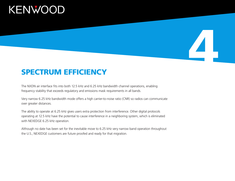#### SPECTRUM EFFICIENCY

The NXDN air interface fits into both 12.5 kHz and 6.25 kHz bandwidth channel operations, enabling frequency stability that exceeds regulatory and emissions mask requirements in all bands.

Very narrow 6.25 kHz bandwidth mode offers a high carrier-to-noise ratio (CNR) so radios can communicate over greater distances.

4

The ability to operate at 6.25 kHz gives users extra protection from interference. Other digital protocols operating at 12.5 kHz have the potential to cause interference in a neighboring system, which is eliminated with NEXEDGE 6.25 kHz operation.

Although no date has been set for the inevitable move to 6.25 kHz very narrow band operation throughout the U.S., NEXEDGE customers are future proofed and ready for that migration.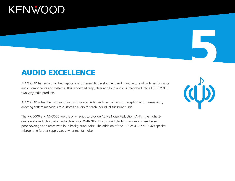#### AUDIO EXCELLENCE

KENWOOD has an unmatched reputation for research, development and manufacture of high performance audio components and systems. This renowned crisp, clear and loud audio is integrated into all KENWOOD two-way radio products.

KENWOOD subscriber programming software includes audio equalizers for reception and transmission, allowing system managers to customize audio for each individual subscriber unit.

The NX-5000 and NX-3000 are the only radios to provide Active Noise Reduction (ANR), the highestgrade noise reduction, at an attractive price. With NEXEDGE, sound clarity is uncompromised even in poor coverage and areas with loud background noise. The addition of the KENWOOD KMC-54W speaker microphone further suppresses environmental noise.

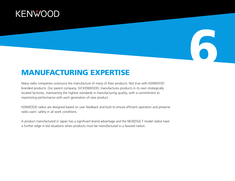#### MANUFACTURING EXPERTISE

Many radio companies outsource the manufacture of many of their products. Not true with KENWOOD branded products. Our parent company, JVCKENWOOD, manufactures products in its own strategically located factories, maintaining the highest standards in manufacturing quality, with a commitment to maximizing performance with each generation of new product.

6

KENWOOD radios are designed based on user feedback and built to ensure efficient operation and preserve radio users' safety in all work conditions.

A product manufactured in Japan has a significant brand advantage and the NEXEDGE F model radios have a further edge in bid situations when products must be manufactured in a favored nation.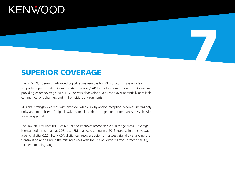#### SUPERIOR COVERAGE

The NEXEDGE Series of advanced digital radios uses the NXDN protocol. This is a widely supported open standard Common Air Interface (CAI) for mobile communications. As well as providing wider coverage, NEXEDGE delivers clear voice quality even over potentially unreliable communications channels and in the noisiest environments.

7

RF signal strength weakens with distance, which is why analog reception becomes increasingly noisy and intermittent. A digital NXDN signal is audible at a greater range than is possible with an analog signal.

The low Bit Error Rate (BER) of NXDN also improves reception even in fringe areas. Coverage is expanded by as much as 20% over FM analog, resulting in a 50% increase in the coverage area for digital 6.25 kHz. NXDN digital can recover audio from a weak signal by analyzing the transmission and filling in the missing pieces with the use of Forward Error Correction (FEC), further extending range.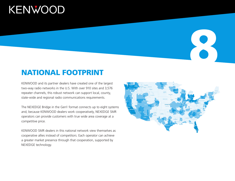#### NATIONAL FOOTPRINT

KENWOOD and its partner dealers have created one of the largest two-way radio networks in the U.S. With over 910 sites and 3,576 repeater channels, this robust network can support local, county, state-wide and regional radio communications requirements.

The NEXEDGE Bridge in the Gen1 format connects up to eight systems and, because KENWOOD dealers work cooperatively, NEXEDGE SMR operators can provide customers with true wide area coverage at a competitive price.

KENWOOD SMR dealers in this national network view themselves as cooperative allies instead of competitors. Each operator can achieve a greater market presence through that cooperation, supported by NEXEDGE technology.

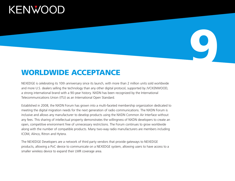#### WORLDWIDE ACCEPTANCE

NEXEDGE is celebrating its 10th anniversary since its launch, with more than 2 million units sold worldwide and more U.S. dealers selling the technology than any other digital protocol, supported by JVCKENWOOD, a strong international brand with a 90-year history. NXDN has been recognized by the International Telecommunications Union (ITU) as an International Open Standard.

9

Established in 2008, the NXDN Forum has grown into a multi-faceted membership organization dedicated to meeting the digital migration needs for the next generation of radio communications. The NXDN Forum is inclusive and allows any manufacturer to develop products using the NXDN Common Air Interface without any fees. This sharing of intellectual property demonstrates the willingness of NXDN developers to create an open, competitive environment free of unnecessary restrictions. The Forum continues to grow worldwide along with the number of compatible products. Many two-way radio manufacturers are members including ICOM, Alinco, Ritron and Hytera.

The NEXEDGE Developers are a network of third party vendors that provide gateways to NEXEDGE products, allowing a PoC device to communicate on a NEXEDGE system, allowing users to have access to a smaller wireless device to expand their LMR coverage area.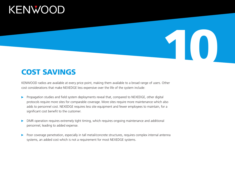### COST SAVINGS

KENWOOD radios are available at every price point, making them available to a broad range of users. Other cost considerations that make NEXEDGE less expensive over the life of the system include:

- **Propagation studies and field system deployments reveal that, compared to NEXEDGE, other digital** protocols require more sites for comparable coverage. More sites require more maintenance which also adds to personnel cost. NEXEDGE requires less site equipment and fewer employees to maintain, for a significant cost benefit to the customer.
- DMR operation requires extremely tight timing, which requires ongoing maintenance and additional personnel, leading to added expense.
- Poor coverage penetration, especially in tall metal/concrete structures, requires complex internal antennal systems, an added cost which is not a requirement for most NEXEDGE systems.